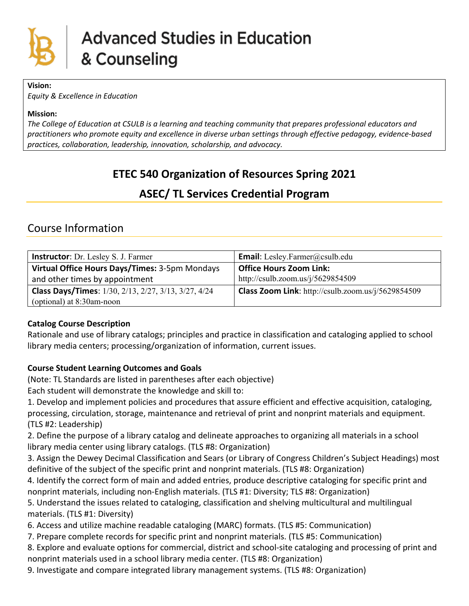

#### **Vision:**

*Equity & Excellence in Education*

#### **Mission:**

*The College of Education at CSULB is a learning and teaching community that prepares professional educators and practitioners who promote equity and excellence in diverse urban settings through effective pedagogy, evidence-based practices, collaboration, leadership, innovation, scholarship, and advocacy.*

# **ETEC 540 Organization of Resources Spring 2021**

## **ASEC/ TL Services Credential Program**

## Course Information

| <b>Instructor:</b> Dr. Lesley S. J. Farmer                  | <b>Email:</b> Lesley.Farmer@csulb.edu                     |  |
|-------------------------------------------------------------|-----------------------------------------------------------|--|
| Virtual Office Hours Days/Times: 3-5pm Mondays              | <b>Office Hours Zoom Link:</b>                            |  |
| and other times by appointment                              | http://csulb.zoom.us/j/5629854509                         |  |
| <b>Class Days/Times:</b> 1/30, 2/13, 2/27, 3/13, 3/27, 4/24 | <b>Class Zoom Link:</b> http://csulb.zoom.us/j/5629854509 |  |
| (optional) at 8:30am-noon                                   |                                                           |  |

## **Catalog Course Description**

Rationale and use of library catalogs; principles and practice in classification and cataloging applied to school library media centers; processing/organization of information, current issues.

## **Course Student Learning Outcomes and Goals**

(Note: TL Standards are listed in parentheses after each objective)

Each student will demonstrate the knowledge and skill to:

1. Develop and implement policies and procedures that assure efficient and effective acquisition, cataloging, processing, circulation, storage, maintenance and retrieval of print and nonprint materials and equipment. (TLS #2: Leadership)

2. Define the purpose of a library catalog and delineate approaches to organizing all materials in a school library media center using library catalogs. (TLS #8: Organization)

3. Assign the Dewey Decimal Classification and Sears (or Library of Congress Children's Subject Headings) most definitive of the subject of the specific print and nonprint materials. (TLS #8: Organization)

4. Identify the correct form of main and added entries, produce descriptive cataloging for specific print and nonprint materials, including non-English materials. (TLS #1: Diversity; TLS #8: Organization)

5. Understand the issues related to cataloging, classification and shelving multicultural and multilingual materials. (TLS #1: Diversity)

6. Access and utilize machine readable cataloging (MARC) formats. (TLS #5: Communication)

7. Prepare complete records for specific print and nonprint materials. (TLS #5: Communication)

8. Explore and evaluate options for commercial, district and school-site cataloging and processing of print and nonprint materials used in a school library media center. (TLS #8: Organization)

9. Investigate and compare integrated library management systems. (TLS #8: Organization)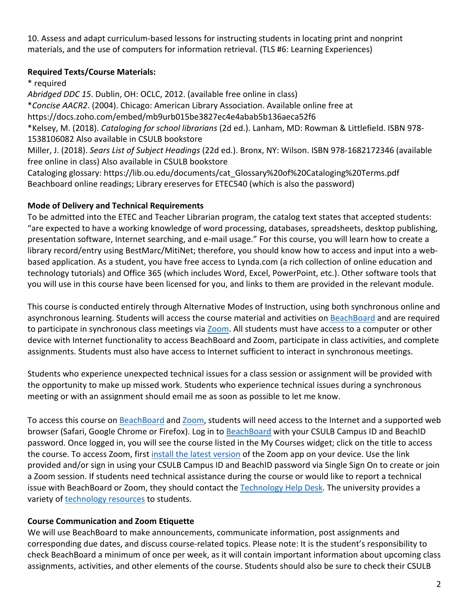10. Assess and adapt curriculum-based lessons for instructing students in locating print and nonprint materials, and the use of computers for information retrieval. (TLS #6: Learning Experiences)

## **Required Texts/Course Materials:**

\* required

*Abridged DDC 15*. Dublin, OH: OCLC, 2012. (available free online in class) \**Concise AACR2*. (2004). Chicago: American Library Association. Available online free at https://docs.zoho.com/embed/mb9urb015be3827ec4e4abab5b136aeca52f6 \*Kelsey, M. (2018). *Cataloging for school librarians* (2d ed.). Lanham, MD: Rowman & Littlefield. ISBN 978- 1538106082 Also available in CSULB bookstore Miller, J. (2018). *Sears List of Subject Headings* (22d ed.). Bronx, NY: Wilson. ISBN 978-1682172346 (available free online in class) Also available in CSULB bookstore Cataloging glossary: https://lib.ou.edu/documents/cat\_Glossary%20of%20Cataloging%20Terms.pdf Beachboard online readings; Library ereserves for ETEC540 (which is also the password)

## **Mode of Delivery and Technical Requirements**

To be admitted into the ETEC and Teacher Librarian program, the catalog text states that accepted students: "are expected to have a working knowledge of word processing, databases, spreadsheets, desktop publishing, presentation software, Internet searching, and e-mail usage." For this course, you will learn how to create a library record/entry using BestMarc/MitiNet; therefore, you should know how to access and input into a webbased application. As a student, you have free access to Lynda.com (a rich collection of online education and technology tutorials) and Office 365 (which includes Word, Excel, PowerPoint, etc.). Other software tools that you will use in this course have been licensed for you, and links to them are provided in the relevant module.

This course is conducted entirely through Alternative Modes of Instruction, using both synchronous online and asynchronous learning. Students will access the course material and activities on [BeachBoard](https://bbcsulb.desire2learn.com/d2l/home) and are required to participate in synchronous class meetings via [Zoom.](https://csulb.zoom.us/meeting) All students must have access to a computer or other device with Internet functionality to access BeachBoard and Zoom, participate in class activities, and complete assignments. Students must also have access to Internet sufficient to interact in synchronous meetings.

Students who experience unexpected technical issues for a class session or assignment will be provided with the opportunity to make up missed work. Students who experience technical issues during a synchronous meeting or with an assignment should email me as soon as possible to let me know.

To access this course on [BeachBoard](https://bbcsulb.desire2learn.com/d2l/home) and [Zoom,](https://csulb.zoom.us/meeting) students will need access to the Internet and a supported web browser (Safari, Google Chrome or Firefox). Log in to [BeachBoard](https://bbcsulb.desire2learn.com/) with your CSULB Campus ID and BeachID password. Once logged in, you will see the course listed in the My Courses widget; click on the title to access the course. To access Zoom, first [install the latest version](https://zoom.us/download) of the Zoom app on your device. Use the link provided and/or sign in using your CSULB Campus ID and BeachID password via Single Sign On to create or join a Zoom session. If students need technical assistance during the course or would like to report a technical issue with BeachBoard or Zoom, they should contact the [Technology Help Desk.](https://www.csulb.edu/academic-technology-services/academic-technology-resources-for-students) The university provides a variety of [technology resources](https://www.csulb.edu/academic-technology-services/academic-technology-resources-for-students) to students.

## **Course Communication and Zoom Etiquette**

We will use BeachBoard to make announcements, communicate information, post assignments and corresponding due dates, and discuss course-related topics. Please note: It is the student's responsibility to check BeachBoard a minimum of once per week, as it will contain important information about upcoming class assignments, activities, and other elements of the course. Students should also be sure to check their CSULB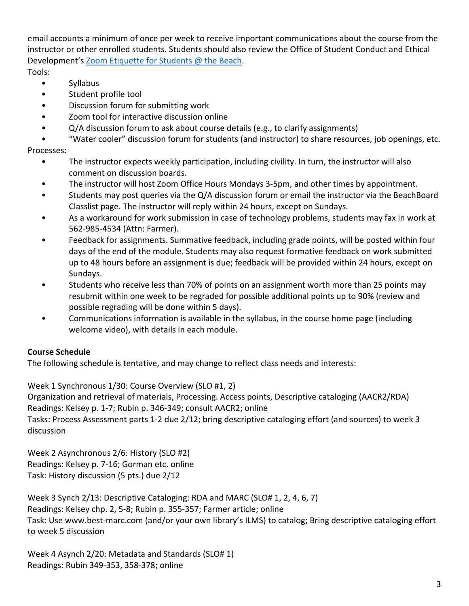email accounts a minimum of once per week to receive important communications about the course from the instructor or other enrolled students. Students should also review the Office of Student Conduct and Ethical Development's [Zoom Etiquette for Students @ the Beach.](https://www.csulb.edu/sites/default/files/u48211/zoom_etiquette_for_students.pdf)

Tools:

- Syllabus
- Student profile tool
- Discussion forum for submitting work
- Zoom tool for interactive discussion online
- Q/A discussion forum to ask about course details (e.g., to clarify assignments)

• "Water cooler" discussion forum for students (and instructor) to share resources, job openings, etc. Processes:

- The instructor expects weekly participation, including civility. In turn, the instructor will also comment on discussion boards.
- The instructor will host Zoom Office Hours Mondays 3-5pm, and other times by appointment.
- Students may post queries via the Q/A discussion forum or email the instructor via the BeachBoard Classlist page. The instructor will reply within 24 hours, except on Sundays.
- As a workaround for work submission in case of technology problems, students may fax in work at 562-985-4534 (Attn: Farmer).
- Feedback for assignments. Summative feedback, including grade points, will be posted within four days of the end of the module. Students may also request formative feedback on work submitted up to 48 hours before an assignment is due; feedback will be provided within 24 hours, except on Sundays.
- Students who receive less than 70% of points on an assignment worth more than 25 points may resubmit within one week to be regraded for possible additional points up to 90% (review and possible regrading will be done within 5 days).
- Communications information is available in the syllabus, in the course home page (including welcome video), with details in each module.

## **Course Schedule**

The following schedule is tentative, and may change to reflect class needs and interests:

Week 1 Synchronous 1/30: Course Overview (SLO #1, 2)

Organization and retrieval of materials, Processing. Access points, Descriptive cataloging (AACR2/RDA) Readings: Kelsey p. 1-7; Rubin p. 346-349; consult AACR2; online

Tasks: Process Assessment parts 1-2 due 2/12; bring descriptive cataloging effort (and sources) to week 3 discussion

Week 2 Asynchronous 2/6: History (SLO #2) Readings: Kelsey p. 7-16; Gorman etc. online Task: History discussion (5 pts.) due 2/12

Week 3 Synch 2/13: Descriptive Cataloging: RDA and MARC (SLO# 1, 2, 4, 6, 7) Readings: Kelsey chp. 2, 5-8; Rubin p. 355-357; Farmer article; online Task: Use www.best-marc.com (and/or your own library's ILMS) to catalog; Bring descriptive cataloging effort to week 5 discussion

Week 4 Asynch 2/20: Metadata and Standards (SLO# 1) Readings: Rubin 349-353, 358-378; online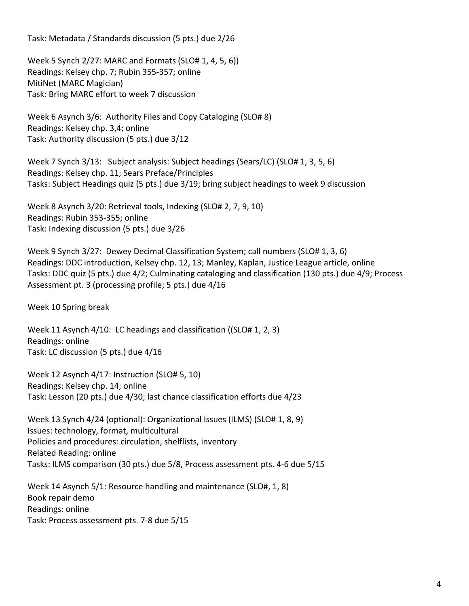Task: Metadata / Standards discussion (5 pts.) due 2/26

Week 5 Synch 2/27: MARC and Formats (SLO# 1, 4, 5, 6)) Readings: Kelsey chp. 7; Rubin 355-357; online MitiNet (MARC Magician) Task: Bring MARC effort to week 7 discussion

Week 6 Asynch 3/6: Authority Files and Copy Cataloging (SLO# 8) Readings: Kelsey chp. 3,4; online Task: Authority discussion (5 pts.) due 3/12

Week 7 Synch 3/13: Subject analysis: Subject headings (Sears/LC) (SLO# 1, 3, 5, 6) Readings: Kelsey chp. 11; Sears Preface/Principles Tasks: Subject Headings quiz (5 pts.) due 3/19; bring subject headings to week 9 discussion

Week 8 Asynch 3/20: Retrieval tools, Indexing (SLO# 2, 7, 9, 10) Readings: Rubin 353-355; online Task: Indexing discussion (5 pts.) due 3/26

Week 9 Synch 3/27: Dewey Decimal Classification System; call numbers (SLO# 1, 3, 6) Readings: DDC introduction, Kelsey chp. 12, 13; Manley, Kaplan, Justice League article, online Tasks: DDC quiz (5 pts.) due 4/2; Culminating cataloging and classification (130 pts.) due 4/9; Process Assessment pt. 3 (processing profile; 5 pts.) due 4/16

Week 10 Spring break

Week 11 Asynch 4/10: LC headings and classification ((SLO# 1, 2, 3) Readings: online Task: LC discussion (5 pts.) due 4/16

Week 12 Asynch 4/17: Instruction (SLO# 5, 10) Readings: Kelsey chp. 14; online Task: Lesson (20 pts.) due 4/30; last chance classification efforts due 4/23

Week 13 Synch 4/24 (optional): Organizational Issues (ILMS) (SLO# 1, 8, 9) Issues: technology, format, multicultural Policies and procedures: circulation, shelflists, inventory Related Reading: online Tasks: ILMS comparison (30 pts.) due 5/8, Process assessment pts. 4-6 due 5/15

Week 14 Asynch 5/1: Resource handling and maintenance (SLO#, 1, 8) Book repair demo Readings: online Task: Process assessment pts. 7-8 due 5/15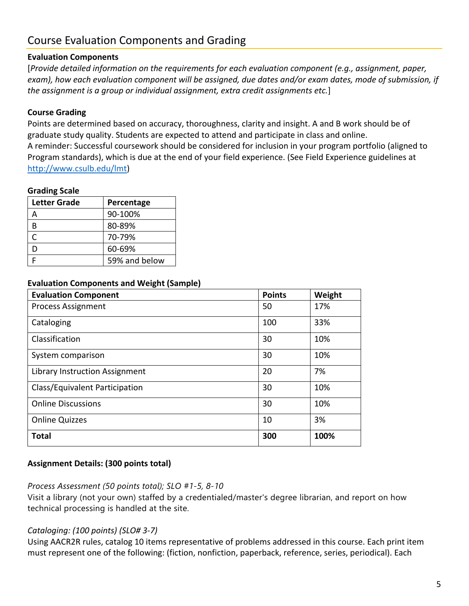# Course Evaluation Components and Grading

#### **Evaluation Components**

[*Provide detailed information on the requirements for each evaluation component (e.g., assignment, paper, exam), how each evaluation component will be assigned, due dates and/or exam dates, mode of submission, if the assignment is a group or individual assignment, extra credit assignments etc.*]

### **Course Grading**

Points are determined based on accuracy, thoroughness, clarity and insight. A and B work should be of graduate study quality. Students are expected to attend and participate in class and online. A reminder: Successful coursework should be considered for inclusion in your program portfolio (aligned to Program standards), which is due at the end of your field experience. (See Field Experience guidelines at [http://www.csulb.edu/lmt\)](http://www.csulb.edu/lmt)

#### **Grading Scale**

| <b>Letter Grade</b> | Percentage    |  |
|---------------------|---------------|--|
|                     | 90-100%       |  |
| B                   | 80-89%        |  |
| ┌                   | 70-79%        |  |
| D                   | 60-69%        |  |
|                     | 59% and below |  |

#### **Evaluation Components and Weight (Sample)**

| <b>Evaluation Component</b>           | <b>Points</b> | Weight |
|---------------------------------------|---------------|--------|
| <b>Process Assignment</b>             | 50            | 17%    |
| Cataloging                            | 100           | 33%    |
| Classification                        | 30            | 10%    |
| System comparison                     | 30            | 10%    |
| <b>Library Instruction Assignment</b> | 20            | 7%     |
| Class/Equivalent Participation        | 30            | 10%    |
| <b>Online Discussions</b>             | 30            | 10%    |
| <b>Online Quizzes</b>                 | 10            | 3%     |
| <b>Total</b>                          | 300           | 100%   |

#### **Assignment Details: (300 points total)**

#### *Process Assessment (50 points total); SLO #1-5, 8-10*

Visit a library (not your own) staffed by a credentialed/master's degree librarian, and report on how technical processing is handled at the site.

#### *Cataloging: (100 points) (SLO# 3-7)*

Using AACR2R rules, catalog 10 items representative of problems addressed in this course. Each print item must represent one of the following: (fiction, nonfiction, paperback, reference, series, periodical). Each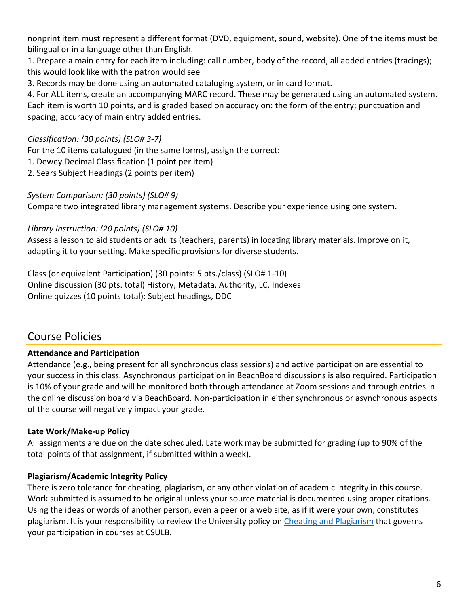nonprint item must represent a different format (DVD, equipment, sound, website). One of the items must be bilingual or in a language other than English.

1. Prepare a main entry for each item including: call number, body of the record, all added entries (tracings); this would look like with the patron would see

3. Records may be done using an automated cataloging system, or in card format.

4. For ALL items, create an accompanying MARC record. These may be generated using an automated system. Each item is worth 10 points, and is graded based on accuracy on: the form of the entry; punctuation and spacing; accuracy of main entry added entries.

## *Classification: (30 points) (SLO# 3-7)*

For the 10 items catalogued (in the same forms), assign the correct:

1. Dewey Decimal Classification (1 point per item)

2. Sears Subject Headings (2 points per item)

*System Comparison: (30 points) (SLO# 9)*

Compare two integrated library management systems. Describe your experience using one system.

*Library Instruction: (20 points) (SLO# 10)*

Assess a lesson to aid students or adults (teachers, parents) in locating library materials. Improve on it, adapting it to your setting. Make specific provisions for diverse students.

Class (or equivalent Participation) (30 points: 5 pts./class) (SLO# 1-10) Online discussion (30 pts. total) History, Metadata, Authority, LC, Indexes Online quizzes (10 points total): Subject headings, DDC

## Course Policies

## **Attendance and Participation**

Attendance (e.g., being present for all synchronous class sessions) and active participation are essential to your success in this class. Asynchronous participation in BeachBoard discussions is also required. Participation is 10% of your grade and will be monitored both through attendance at Zoom sessions and through entries in the online discussion board via BeachBoard. Non-participation in either synchronous or asynchronous aspects of the course will negatively impact your grade.

## **Late Work/Make-up Policy**

All assignments are due on the date scheduled. Late work may be submitted for grading (up to 90% of the total points of that assignment, if submitted within a week).

## **Plagiarism/Academic Integrity Policy**

There is zero tolerance for cheating, plagiarism, or any other violation of academic integrity in this course. Work submitted is assumed to be original unless your source material is documented using proper citations. Using the ideas or words of another person, even a peer or a web site, as if it were your own, constitutes plagiarism. It is your responsibility to review the University policy on [Cheating and Plagiarism](http://catalog.csulb.edu/content.php?catoid=5&navoid=369#cheating-and-plagiarism) that governs your participation in courses at CSULB.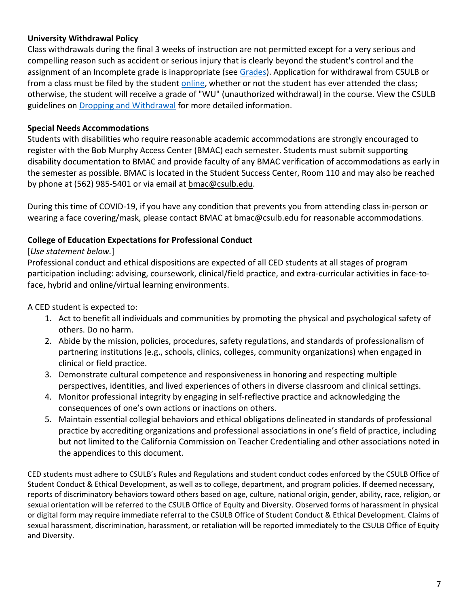#### **University Withdrawal Policy**

Class withdrawals during the final 3 weeks of instruction are not permitted except for a very serious and compelling reason such as accident or serious injury that is clearly beyond the student's control and the assignment of an Incomplete grade is inappropriate (see [Grades\)](http://www.csulb.edu/depts/enrollment/student_academic_records/grading.html). Application for withdrawal from CSULB or from a class must be filed by the student [online,](https://www.csulb.edu/student-records/dropping-and-withdrawing) whether or not the student has ever attended the class; otherwise, the student will receive a grade of "WU" (unauthorized withdrawal) in the course. View the CSULB guidelines on [Dropping and Withdrawal](https://www.csulb.edu/student-records/dropping-and-withdrawing#:%7E:text=Policy,after%20separation%20from%20the%20university.) for more detailed information.

#### **Special Needs Accommodations**

Students with disabilities who require reasonable academic accommodations are strongly encouraged to register with the Bob Murphy Access Center (BMAC) each semester. Students must submit supporting disability documentation to BMAC and provide faculty of any BMAC verification of accommodations as early in the semester as possible. BMAC is located in the Student Success Center, Room 110 and may also be reached by phone at (562) 985-5401 or via email at **bmac@csulb.edu**.

During this time of COVID-19, if you have any condition that prevents you from attending class in-person or wearing a face covering/mask, please contact BMAC at [bmac@csulb.edu](mailto:bmac@csulb.edu) for reasonable accommodations.

### **College of Education Expectations for Professional Conduct**

### [*Use statement below.*]

Professional conduct and ethical dispositions are expected of all CED students at all stages of program participation including: advising, coursework, clinical/field practice, and extra-curricular activities in face-toface, hybrid and online/virtual learning environments.

A CED student is expected to:

- 1. Act to benefit all individuals and communities by promoting the physical and psychological safety of others. Do no harm.
- 2. Abide by the mission, policies, procedures, safety regulations, and standards of professionalism of partnering institutions (e.g., schools, clinics, colleges, community organizations) when engaged in clinical or field practice.
- 3. Demonstrate cultural competence and responsiveness in honoring and respecting multiple perspectives, identities, and lived experiences of others in diverse classroom and clinical settings.
- 4. Monitor professional integrity by engaging in self-reflective practice and acknowledging the consequences of one's own actions or inactions on others.
- 5. Maintain essential collegial behaviors and ethical obligations delineated in standards of professional practice by accrediting organizations and professional associations in one's field of practice, including but not limited to the California Commission on Teacher Credentialing and other associations noted in the appendices to this document.

CED students must adhere to CSULB's Rules and Regulations and student conduct codes enforced by the CSULB Office of Student Conduct & Ethical Development, as well as to college, department, and program policies. If deemed necessary, reports of discriminatory behaviors toward others based on age, culture, national origin, gender, ability, race, religion, or sexual orientation will be referred to the CSULB Office of Equity and Diversity. Observed forms of harassment in physical or digital form may require immediate referral to the CSULB Office of Student Conduct & Ethical Development. Claims of sexual harassment, discrimination, harassment, or retaliation will be reported immediately to the CSULB Office of Equity and Diversity.